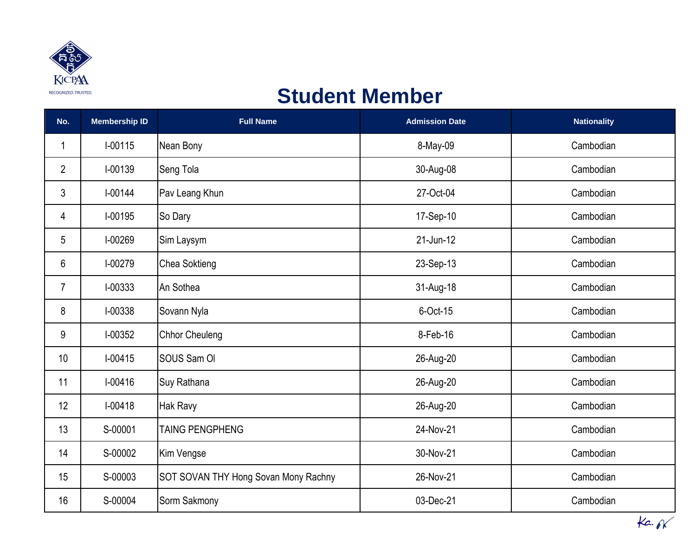

## **Student Member**

| No.            | <b>Membership ID</b> | <b>Full Name</b>                     | <b>Admission Date</b> | <b>Nationality</b> |
|----------------|----------------------|--------------------------------------|-----------------------|--------------------|
| 1              | I-00115              | Nean Bony                            | 8-May-09              | Cambodian          |
| $\overline{2}$ | I-00139              | Seng Tola                            | 30-Aug-08             | Cambodian          |
| 3              | I-00144              | Pav Leang Khun                       | 27-Oct-04             | Cambodian          |
| 4              | I-00195              | So Dary                              | 17-Sep-10             | Cambodian          |
| 5              | I-00269              | Sim Laysym                           | 21-Jun-12             | Cambodian          |
| 6              | I-00279              | Chea Soktieng                        | 23-Sep-13             | Cambodian          |
| $\overline{7}$ | I-00333              | An Sothea                            | 31-Aug-18             | Cambodian          |
| 8              | I-00338              | Sovann Nyla                          | 6-Oct-15              | Cambodian          |
| 9              | I-00352              | <b>Chhor Cheuleng</b>                | 8-Feb-16              | Cambodian          |
| 10             | $I-00415$            | SOUS Sam OI                          | 26-Aug-20             | Cambodian          |
| 11             | $I - 00416$          | Suy Rathana                          | 26-Aug-20             | Cambodian          |
| 12             | $I - 00418$          | <b>Hak Ravy</b>                      | 26-Aug-20             | Cambodian          |
| 13             | S-00001              | <b>TAING PENGPHENG</b>               | 24-Nov-21             | Cambodian          |
| 14             | S-00002              | Kim Vengse                           | 30-Nov-21             | Cambodian          |
| 15             | S-00003              | SOT SOVAN THY Hong Sovan Mony Rachny | 26-Nov-21             | Cambodian          |
| 16             | S-00004              | Sorm Sakmony                         | 03-Dec-21             | Cambodian          |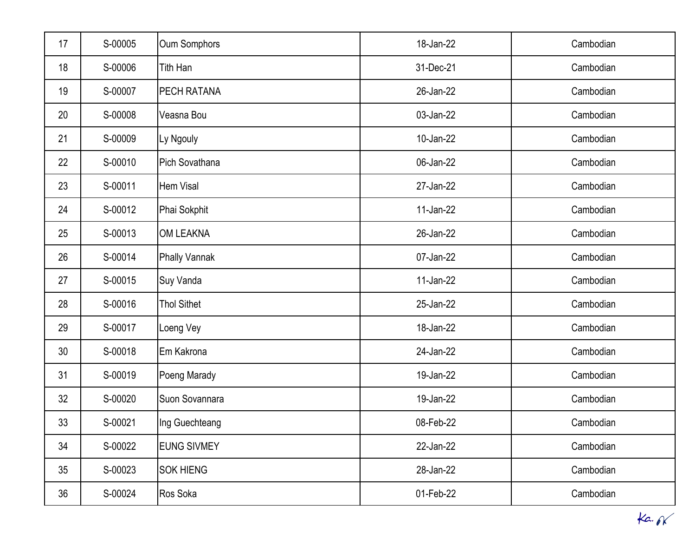| 17              | S-00005 | <b>Oum Somphors</b>  | 18-Jan-22 | Cambodian |
|-----------------|---------|----------------------|-----------|-----------|
| 18              | S-00006 | Tith Han             | 31-Dec-21 | Cambodian |
| 19              | S-00007 | PECH RATANA          | 26-Jan-22 | Cambodian |
| 20              | S-00008 | Veasna Bou           | 03-Jan-22 | Cambodian |
| 21              | S-00009 | Ly Ngouly            | 10-Jan-22 | Cambodian |
| 22              | S-00010 | Pich Sovathana       | 06-Jan-22 | Cambodian |
| 23              | S-00011 | Hem Visal            | 27-Jan-22 | Cambodian |
| 24              | S-00012 | Phai Sokphit         | 11-Jan-22 | Cambodian |
| 25              | S-00013 | <b>OM LEAKNA</b>     | 26-Jan-22 | Cambodian |
| 26              | S-00014 | <b>Phally Vannak</b> | 07-Jan-22 | Cambodian |
| 27              | S-00015 | Suy Vanda            | 11-Jan-22 | Cambodian |
| 28              | S-00016 | <b>Thol Sithet</b>   | 25-Jan-22 | Cambodian |
| 29              | S-00017 | Loeng Vey            | 18-Jan-22 | Cambodian |
| 30 <sup>°</sup> | S-00018 | Em Kakrona           | 24-Jan-22 | Cambodian |
| 31              | S-00019 | Poeng Marady         | 19-Jan-22 | Cambodian |
| 32              | S-00020 | Suon Sovannara       | 19-Jan-22 | Cambodian |
| 33              | S-00021 | Ing Guechteang       | 08-Feb-22 | Cambodian |
| 34              | S-00022 | <b>EUNG SIVMEY</b>   | 22-Jan-22 | Cambodian |
| 35 <sub>2</sub> | S-00023 | <b>SOK HIENG</b>     | 28-Jan-22 | Cambodian |
| 36              | S-00024 | Ros Soka             | 01-Feb-22 | Cambodian |